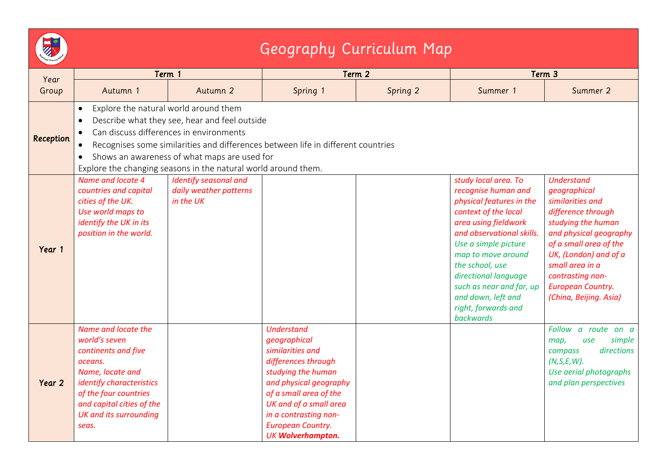| <b>M</b> |                |  |
|----------|----------------|--|
| Stowlaw  | Frimary School |  |
|          |                |  |

## Geography Curriculum Map

| Year<br>Group | Term 1                                                                                                                                                                                                                                                                                                                                                                                      |                                                              | Term 2                                                                                                                                                                                                                                                            |          | Term 3                                                                                                                                                                                                                                                                                                                                     |                                                                                                                                                                                                                                                                             |  |
|---------------|---------------------------------------------------------------------------------------------------------------------------------------------------------------------------------------------------------------------------------------------------------------------------------------------------------------------------------------------------------------------------------------------|--------------------------------------------------------------|-------------------------------------------------------------------------------------------------------------------------------------------------------------------------------------------------------------------------------------------------------------------|----------|--------------------------------------------------------------------------------------------------------------------------------------------------------------------------------------------------------------------------------------------------------------------------------------------------------------------------------------------|-----------------------------------------------------------------------------------------------------------------------------------------------------------------------------------------------------------------------------------------------------------------------------|--|
|               | Autumn 1                                                                                                                                                                                                                                                                                                                                                                                    | Autumn 2                                                     | Spring 1                                                                                                                                                                                                                                                          | Spring 2 | Summer 1                                                                                                                                                                                                                                                                                                                                   | Summer 2                                                                                                                                                                                                                                                                    |  |
| Reception     | Explore the natural world around them<br>$\bullet$<br>Describe what they see, hear and feel outside<br>$\bullet$<br>Can discuss differences in environments<br>Recognises some similarities and differences between life in different countries<br>$\bullet$<br>Shows an awareness of what maps are used for<br>$\bullet$<br>Explore the changing seasons in the natural world around them. |                                                              |                                                                                                                                                                                                                                                                   |          |                                                                                                                                                                                                                                                                                                                                            |                                                                                                                                                                                                                                                                             |  |
| Year 1        | Name and locate 4<br>countries and capital<br>cities of the UK.<br>Use world maps to<br>identify the UK in its<br>position in the world.                                                                                                                                                                                                                                                    | Identify seasonal and<br>daily weather patterns<br>in the UK |                                                                                                                                                                                                                                                                   |          | study local area. To<br>recognise human and<br>physical features in the<br>context of the local<br>area using fieldwork<br>and observational skills.<br>Use a simple picture<br>map to move around<br>the school, use<br>directional language<br>such as near and far, up<br>and down, left and<br>right, forwards and<br><b>backwards</b> | <b>Understand</b><br>geographical<br>similarities and<br>difference through<br>studying the human<br>and physical geography<br>of a small area of the<br>UK, (London) and of a<br>small area in a<br>contrasting non-<br><b>European Country.</b><br>(China, Beijing. Asia) |  |
| Year 2        | Name and locate the<br>world's seven<br>continents and five<br>oceans.<br>Name, locate and<br>identify characteristics<br>of the four countries<br>and capital cities of the<br><b>UK and its surrounding</b><br>seas.                                                                                                                                                                      |                                                              | <b>Understand</b><br>geographical<br>similarities and<br>differences through<br>studying the human<br>and physical geography<br>of a small area of the<br>UK and of a small area<br>in a contrasting non-<br><b>European Country.</b><br><b>UK Wolverhampton.</b> |          |                                                                                                                                                                                                                                                                                                                                            | Follow a route on a<br>simple<br>map,<br>use<br>directions<br>compass<br>$(N, S, E, W)$ .<br>Use aerial photographs<br>and plan perspectives                                                                                                                                |  |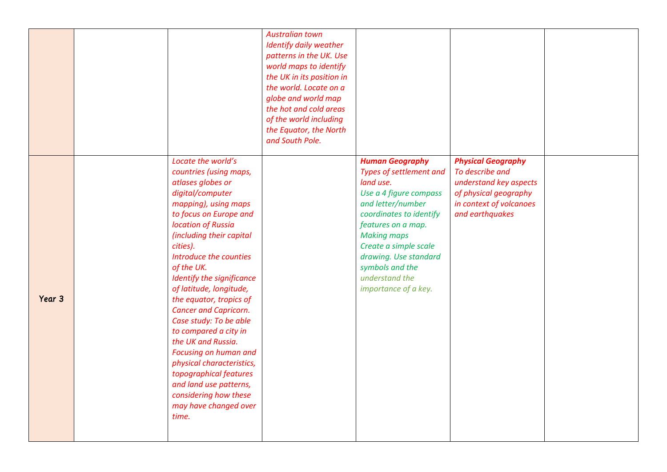|        |                                                                                                                                                                                                                                                                                                                                                                                                                                                                                                                                                                                                                | <b>Australian town</b><br>Identify daily weather<br>patterns in the UK. Use<br>world maps to identify<br>the UK in its position in<br>the world. Locate on a<br>globe and world map<br>the hot and cold areas<br>of the world including<br>the Equator, the North<br>and South Pole. |                                                                                                                                                                                                                                                                                                     |                                                                                                                                               |  |
|--------|----------------------------------------------------------------------------------------------------------------------------------------------------------------------------------------------------------------------------------------------------------------------------------------------------------------------------------------------------------------------------------------------------------------------------------------------------------------------------------------------------------------------------------------------------------------------------------------------------------------|--------------------------------------------------------------------------------------------------------------------------------------------------------------------------------------------------------------------------------------------------------------------------------------|-----------------------------------------------------------------------------------------------------------------------------------------------------------------------------------------------------------------------------------------------------------------------------------------------------|-----------------------------------------------------------------------------------------------------------------------------------------------|--|
| Year 3 | Locate the world's<br>countries (using maps,<br>atlases globes or<br>digital/computer<br>mapping), using maps<br>to focus on Europe and<br>location of Russia<br>(including their capital<br>cities).<br>Introduce the counties<br>of the UK.<br>Identify the significance<br>of latitude, longitude,<br>the equator, tropics of<br><b>Cancer and Capricorn.</b><br>Case study: To be able<br>to compared a city in<br>the UK and Russia.<br>Focusing on human and<br>physical characteristics,<br>topographical features<br>and land use patterns,<br>considering how these<br>may have changed over<br>time. |                                                                                                                                                                                                                                                                                      | <b>Human Geography</b><br>Types of settlement and<br>land use.<br>Use a 4 figure compass<br>and letter/number<br>coordinates to identify<br>features on a map.<br><b>Making maps</b><br>Create a simple scale<br>drawing. Use standard<br>symbols and the<br>understand the<br>importance of a key. | <b>Physical Geography</b><br>To describe and<br>understand key aspects<br>of physical geography<br>in context of volcanoes<br>and earthquakes |  |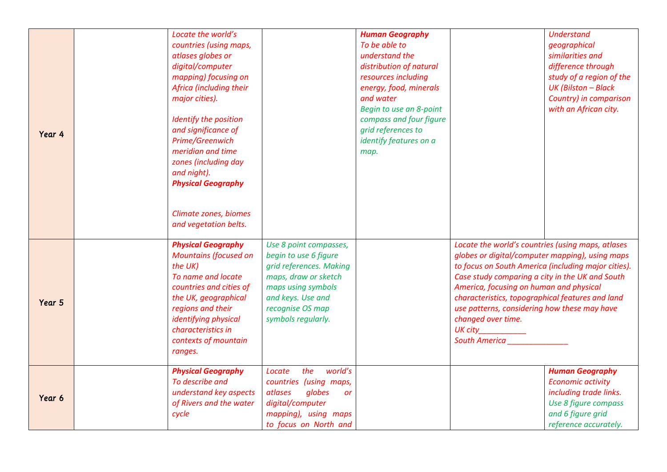| Year 4 | Locate the world's<br>countries (using maps,<br>atlases globes or<br>digital/computer<br>mapping) focusing on<br>Africa (including their<br>major cities).<br>Identify the position<br>and significance of<br>Prime/Greenwich<br>meridian and time<br>zones (including day<br>and night).<br><b>Physical Geography</b><br>Climate zones, biomes<br>and vegetation belts. |                                                                                                                                                                                         | <b>Human Geography</b><br>To be able to<br>understand the<br>distribution of natural<br>resources including<br>energy, food, minerals<br>and water<br>Begin to use an 8-point<br>compass and four figure<br>grid references to<br>identify features on a<br>map. |                                                                                                                                                                                                                                                                                                                                                                                                                                    | <b>Understand</b><br>geographical<br>similarities and<br>difference through<br>study of a region of the<br><b>UK (Bilston - Black</b><br>Country) in comparison<br>with an African city. |
|--------|--------------------------------------------------------------------------------------------------------------------------------------------------------------------------------------------------------------------------------------------------------------------------------------------------------------------------------------------------------------------------|-----------------------------------------------------------------------------------------------------------------------------------------------------------------------------------------|------------------------------------------------------------------------------------------------------------------------------------------------------------------------------------------------------------------------------------------------------------------|------------------------------------------------------------------------------------------------------------------------------------------------------------------------------------------------------------------------------------------------------------------------------------------------------------------------------------------------------------------------------------------------------------------------------------|------------------------------------------------------------------------------------------------------------------------------------------------------------------------------------------|
| Year 5 | <b>Physical Geography</b><br><b>Mountains (focused on</b><br>the UK)<br>To name and locate<br>countries and cities of<br>the UK, geographical<br>regions and their<br>identifying physical<br>characteristics in<br>contexts of mountain<br>ranges.                                                                                                                      | Use 8 point compasses,<br>begin to use 6 figure<br>grid references. Making<br>maps, draw or sketch<br>maps using symbols<br>and keys. Use and<br>recognise OS map<br>symbols regularly. |                                                                                                                                                                                                                                                                  | Locate the world's countries (using maps, atlases<br>globes or digital/computer mapping), using maps<br>to focus on South America (including major cities).<br>Case study comparing a city in the UK and South<br>America, focusing on human and physical<br>characteristics, topographical features and land<br>use patterns, considering how these may have<br>changed over time.<br>UK city____________<br><b>South America</b> |                                                                                                                                                                                          |
| Year 6 | <b>Physical Geography</b><br>To describe and<br>understand key aspects<br>of Rivers and the water<br>cycle                                                                                                                                                                                                                                                               | world's<br>the<br>Locate<br>countries (using maps,<br>globes<br>atlases<br>or<br>digital/computer<br>mapping), using maps<br>to focus on North and                                      |                                                                                                                                                                                                                                                                  |                                                                                                                                                                                                                                                                                                                                                                                                                                    | <b>Human Geography</b><br><b>Economic activity</b><br>including trade links.<br>Use 8 figure compass<br>and 6 figure grid<br>reference accurately.                                       |